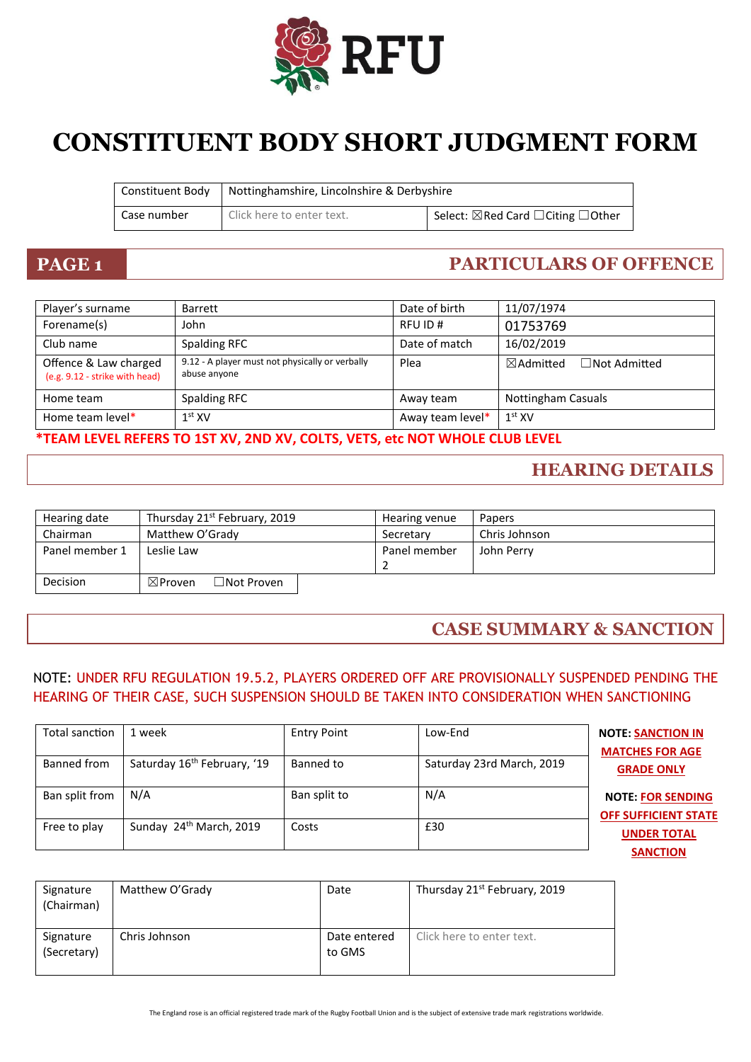

# **CONSTITUENT BODY SHORT JUDGMENT FORM**

| Constituent Body | Nottinghamshire, Lincolnshire & Derbyshire |                                                         |
|------------------|--------------------------------------------|---------------------------------------------------------|
| Case number      | Click here to enter text.                  | Select: $\boxtimes$ Red Card $\Box$ Citing $\Box$ Other |

### **PAGE 1 PARTICULARS OF OFFENCE**

| Player's surname                                        | Barrett                                                         | Date of birth    | 11/07/1974                                  |
|---------------------------------------------------------|-----------------------------------------------------------------|------------------|---------------------------------------------|
| Forename(s)                                             | John                                                            | RFU ID#          | 01753769                                    |
| Club name                                               | Spalding RFC                                                    | Date of match    | 16/02/2019                                  |
| Offence & Law charged<br>(e.g. 9.12 - strike with head) | 9.12 - A player must not physically or verbally<br>abuse anyone | Plea             | $\Box$ Not Admitted<br>$\boxtimes$ Admitted |
| Home team                                               | Spalding RFC                                                    | Away team        | <b>Nottingham Casuals</b>                   |
| Home team level*                                        | $1st$ XV                                                        | Away team level* | $1st$ XV                                    |

#### **\*TEAM LEVEL REFERS TO 1ST XV, 2ND XV, COLTS, VETS, etc NOT WHOLE CLUB LEVEL**

#### **HEARING DETAILS**

| Hearing date    | Thursday 21 <sup>st</sup> February, 2019   | Hearing venue | Papers        |
|-----------------|--------------------------------------------|---------------|---------------|
| Chairman        | Matthew O'Grady                            | Secretary     | Chris Johnson |
| Panel member 1  | Leslie Law                                 | Panel member  | John Perry    |
|                 |                                            |               |               |
| <b>Decision</b> | $\exists$ Not Proven<br>$\boxtimes$ Proven |               |               |

#### **CASE SUMMARY & SANCTION**

#### NOTE: UNDER RFU REGULATION 19.5.2, PLAYERS ORDERED OFF ARE PROVISIONALLY SUSPENDED PENDING THE HEARING OF THEIR CASE, SUCH SUSPENSION SHOULD BE TAKEN INTO CONSIDERATION WHEN SANCTIONING

| Total sanction | 1 week                                  | <b>Entry Point</b> | Low-End                   | <b>NOTE: SANCTION IN</b><br><b>MATCHES FOR AGE</b>      |
|----------------|-----------------------------------------|--------------------|---------------------------|---------------------------------------------------------|
| Banned from    | Saturday 16 <sup>th</sup> February, '19 | Banned to          | Saturday 23rd March, 2019 | <b>GRADE ONLY</b>                                       |
| Ban split from | N/A                                     | Ban split to       | N/A                       | <b>NOTE: FOR SENDING</b><br><b>OFF SUFFICIENT STATE</b> |
| Free to play   | Sunday 24 <sup>th</sup> March, 2019     | Costs              | £30                       | <b>UNDER TOTAL</b><br><b>SANCTION</b>                   |

| Signature<br>(Chairman)  | Matthew O'Grady | Date                   | Thursday 21 <sup>st</sup> February, 2019 |
|--------------------------|-----------------|------------------------|------------------------------------------|
| Signature<br>(Secretary) | Chris Johnson   | Date entered<br>to GMS | Click here to enter text.                |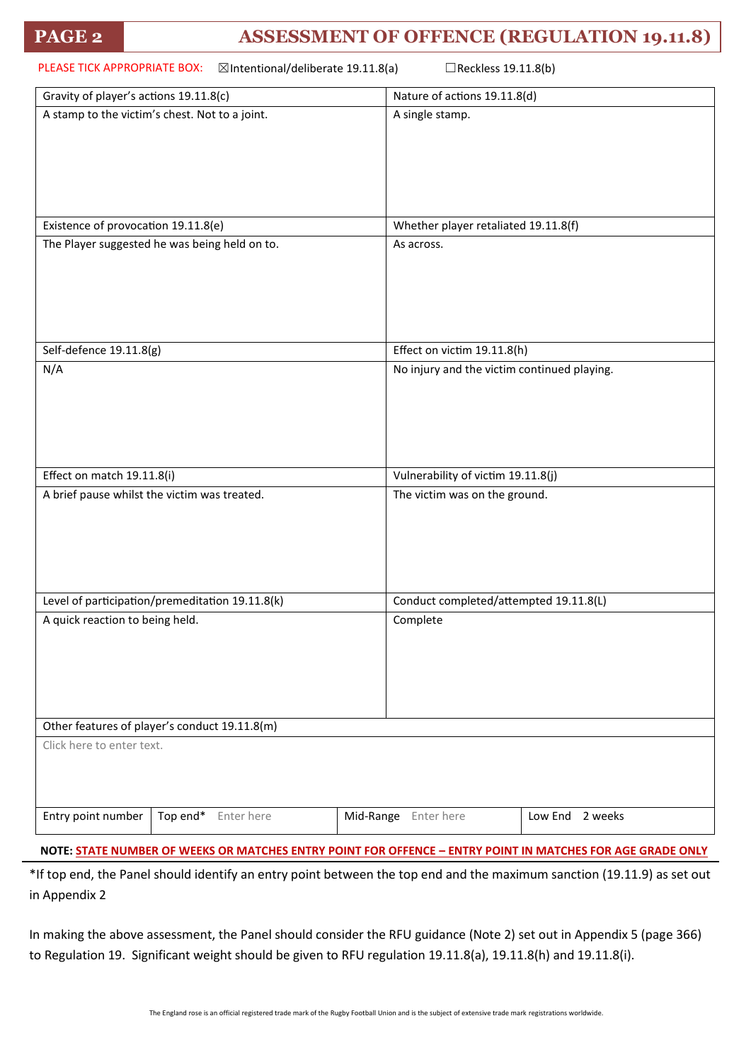| PLEASE TICK APPROPRIATE BOX: | $\boxtimes$ Intentional/deliberate 19.11.8(a) | Reckless 19.11.8(b) |
|------------------------------|-----------------------------------------------|---------------------|
|                              |                                               |                     |

| Gravity of player's actions 19.11.8(c)          | Nature of actions 19.11.8(d)                |  |
|-------------------------------------------------|---------------------------------------------|--|
| A stamp to the victim's chest. Not to a joint.  | A single stamp.                             |  |
|                                                 |                                             |  |
|                                                 |                                             |  |
|                                                 |                                             |  |
|                                                 |                                             |  |
|                                                 |                                             |  |
| Existence of provocation 19.11.8(e)             | Whether player retaliated 19.11.8(f)        |  |
| The Player suggested he was being held on to.   | As across.                                  |  |
|                                                 |                                             |  |
|                                                 |                                             |  |
|                                                 |                                             |  |
|                                                 |                                             |  |
| Self-defence 19.11.8(g)                         | Effect on victim 19.11.8(h)                 |  |
| N/A                                             | No injury and the victim continued playing. |  |
|                                                 |                                             |  |
|                                                 |                                             |  |
|                                                 |                                             |  |
|                                                 |                                             |  |
| Effect on match 19.11.8(i)                      | Vulnerability of victim 19.11.8(j)          |  |
| A brief pause whilst the victim was treated.    | The victim was on the ground.               |  |
|                                                 |                                             |  |
|                                                 |                                             |  |
|                                                 |                                             |  |
|                                                 |                                             |  |
| Level of participation/premeditation 19.11.8(k) | Conduct completed/attempted 19.11.8(L)      |  |
| A quick reaction to being held.                 | Complete                                    |  |
|                                                 |                                             |  |
|                                                 |                                             |  |
|                                                 |                                             |  |
|                                                 |                                             |  |
|                                                 |                                             |  |
| Other features of player's conduct 19.11.8(m)   |                                             |  |
| Click here to enter text.                       |                                             |  |
|                                                 |                                             |  |
|                                                 |                                             |  |
| Entry point number<br>Top end* Enter here       | Mid-Range Enter here<br>Low End 2 weeks     |  |
|                                                 |                                             |  |

**NOTE: STATE NUMBER OF WEEKS OR MATCHES ENTRY POINT FOR OFFENCE – ENTRY POINT IN MATCHES FOR AGE GRADE ONLY**

\*If top end, the Panel should identify an entry point between the top end and the maximum sanction (19.11.9) as set out in Appendix 2

In making the above assessment, the Panel should consider the RFU guidance (Note 2) set out in Appendix 5 (page 366) to Regulation 19. Significant weight should be given to RFU regulation 19.11.8(a), 19.11.8(h) and 19.11.8(i).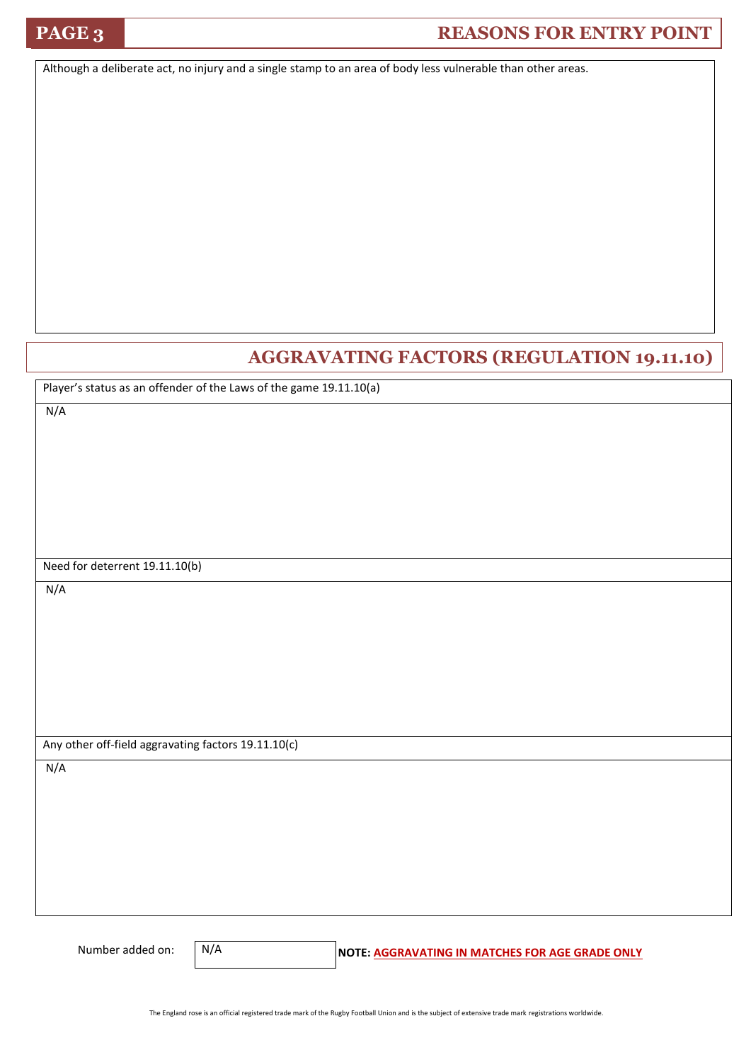## **PAGE 3 REASONS FOR ENTRY POINT**

Although a deliberate act, no injury and a single stamp to an area of body less vulnerable than other areas.

#### **AGGRAVATING FACTORS (REGULATION 19.11.10)**

Player's status as an offender of the Laws of the game 19.11.10(a)

N/A

Need for deterrent 19.11.10(b)

N/A

Any other off-field aggravating factors 19.11.10(c)

N/A

N/A

Number added on: **N/A** NOTE: AGGRAVATING IN MATCHES FOR AGE GRADE ONLY